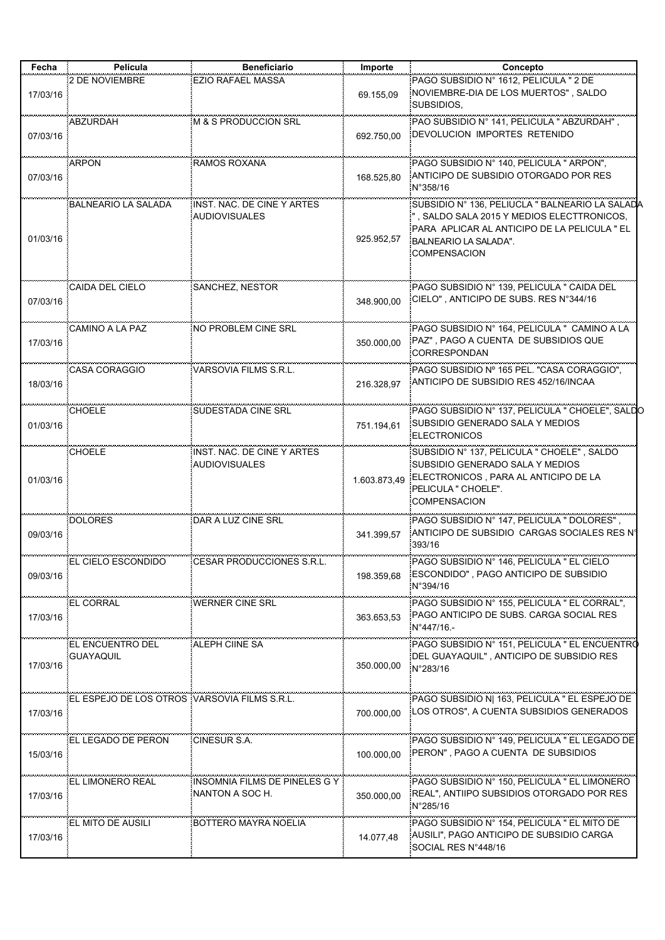| Fecha    | Película                                     | <b>Beneficiario</b>                                | Importe      | Concepto                                                                                                                                                                                     |
|----------|----------------------------------------------|----------------------------------------------------|--------------|----------------------------------------------------------------------------------------------------------------------------------------------------------------------------------------------|
| 17/03/16 | 2 DE NOVIEMBRE                               | EZIO RAFAEL MASSA                                  | 69.155,09    | PAGO SUBSIDIO N° 1612, PELICULA " 2 DE<br>NOVIEMBRE-DIA DE LOS MUERTOS", SALDO<br>SUBSIDIOS.                                                                                                 |
| 07/03/16 | <b>ABZURDAH</b>                              | M & S PRODUCCION SRL                               | 692.750.00   | PAO SUBSIDIO Nº 141, PELICULA " ABZURDAH",<br>DEVOLUCION IMPORTES RETENIDO                                                                                                                   |
| 07/03/16 | ARPON                                        | RAMOS ROXANA                                       | 168.525,80   | PAGO SUBSIDIO Nº 140, PELICULA " ARPON",<br>ANTICIPO DE SUBSIDIO OTORGADO POR RES<br>$N^{\circ}358/16$                                                                                       |
| 01/03/16 | <b>BALNEARIO LA SALADA</b>                   | INST. NAC. DE CINE Y ARTES<br><b>AUDIOVISUALES</b> | 925.952,57   | SUBSIDIO Nº 136, PELIUCLA " BALNEARIO LA SALADA<br>", SALDO SALA 2015 Y MEDIOS ELECTTRONICOS,<br>PARA APLICAR AL ANTICIPO DE LA PELICULA "EL<br>BALNEARIO LA SALADA".<br><b>COMPENSACION</b> |
| 07/03/16 | <b>CAIDA DEL CIELO</b>                       | <b>SANCHEZ, NESTOR</b>                             | 348.900.00   | PAGO SUBSIDIO Nº 139, PELICULA " CAIDA DEL<br>CIELO", ANTICIPO DE SUBS. RES N°344/16                                                                                                         |
| 17/03/16 | CAMINO A LA PAZ                              | NO PROBLEM CINE SRL                                | 350.000,00   | PAGO SUBSIDIO Nº 164, PELICULA " CAMINO A LA<br>PAZ", PAGO A CUENTA DE SUBSIDIOS QUE<br><b>CORRESPONDAN</b>                                                                                  |
| 18/03/16 | <b>CASA CORAGGIO</b>                         | VARSOVIA FILMS S.R.L.                              | 216.328,97   | PAGO SUBSIDIO Nº 165 PEL. "CASA CORAGGIO",<br>ANTICIPO DE SUBSIDIO RES 452/16/INCAA                                                                                                          |
| 01/03/16 | <b>CHOELE</b>                                | <b>SUDESTADA CINE SRL</b>                          | 751.194.61   | PAGO SUBSIDIO Nº 137, PELICULA " CHOELE", SALDO<br>SUBSIDIO GENERADO SALA Y MEDIOS<br><b>ELECTRONICOS</b>                                                                                    |
| 01/03/16 | <b>CHOELE</b>                                | INST. NAC. DE CINE Y ARTES<br><b>AUDIOVISUALES</b> | 1.603.873,49 | SUBSIDIO Nº 137, PELICULA " CHOELE", SALDO<br>SUBSIDIO GENERADO SALA Y MEDIOS<br>ELECTRONICOS, PARA AL ANTICIPO DE LA<br>PELICULA " CHOELE".<br><b>COMPENSACION</b>                          |
| 09/03/16 | <b>DOLORES</b>                               | DAR A LUZ CINE SRL                                 | 341.399,57   | PAGO SUBSIDIO Nº 147, PELICULA " DOLORES",<br>ANTICIPO DE SUBSIDIO CARGAS SOCIALES RES Nº<br>393/16                                                                                          |
| 09/03/16 | EL CIELO ESCONDIDO                           | CESAR PRODUCCIONES S.R.L.                          | 198.359,68   | PAGO SUBSIDIO Nº 146, PELICULA " EL CIELO<br>ESCONDIDO", PAGO ANTICIPO DE SUBSIDIO<br>N°394/16                                                                                               |
| 17/03/16 | EL CORRAL                                    | <b>WERNER CINE SRL</b>                             | 363.653,53   | PAGO SUBSIDIO Nº 155, PELICULA " EL CORRAL",<br>PAGO ANTICIPO DE SUBS. CARGA SOCIAL RES<br>$N^{\circ}$ 447/16.-                                                                              |
| 17/03/16 | EL ENCUENTRO DEL<br><b>GUAYAQUIL</b>         | <b>ALEPH CIINE SA</b>                              | 350.000,00   | PAGO SUBSIDIO Nº 151, PELICULA " EL ENCUENTRO<br>DEL GUAYAQUIL", ANTICIPO DE SUBSIDIO RES<br>$N^{\circ}283/16$                                                                               |
| 17/03/16 | EL ESPEJO DE LOS OTROS VARSOVIA FILMS S.R.L. |                                                    | 700.000,00   | PAGO SUBSIDIO N  163, PELICULA " EL ESPEJO DE<br>LOS OTROS", A CUENTA SUBSIDIOS GENERADOS                                                                                                    |
| 15/03/16 | EL LEGADO DE PERON                           | <b>CINESUR S.A.</b>                                | 100.000,00   | PAGO SUBSIDIO N° 149, PELICULA " EL LEGADO DE<br>PERON", PAGO A CUENTA DE SUBSIDIOS                                                                                                          |
| 17/03/16 | EL LIMONERO REAL                             | INSOMNIA FILMS DE PINELES G Y<br>NANTON A SOC H.   | 350.000,00   | PAGO SUBSIDIO Nº 150, PELICULA " EL LIMONERO<br>REAL", ANTIIPO SUBSIDIOS OTORGADO POR RES<br>N°285/16                                                                                        |
| 17/03/16 | EL MITO DE AUSILI                            | <b>BOTTERO MAYRA NOELIA</b>                        | 14.077,48    | PAGO SUBSIDIO Nº 154, PELICULA " EL MITO DE<br>AUSILI", PAGO ANTICIPO DE SUBSIDIO CARGA<br>SOCIAL RES N°448/16                                                                               |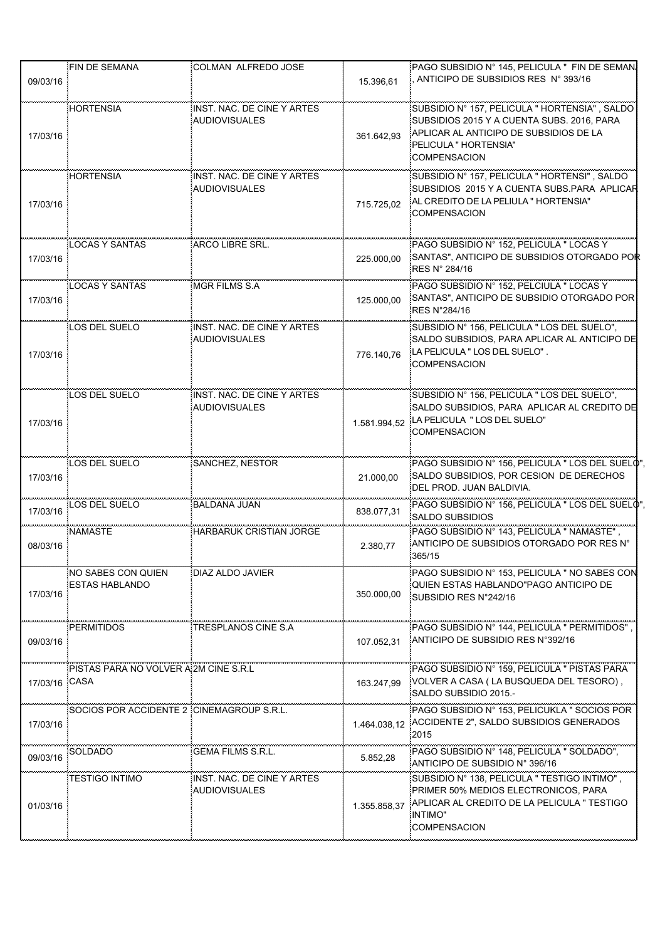|               | FIN DE SEMANA                               | COLMAN ALFREDO JOSE                                |              | PAGO SUBSIDIO Nº 145, PELICULA " FIN DE SEMAN.                                                                                                                                        |
|---------------|---------------------------------------------|----------------------------------------------------|--------------|---------------------------------------------------------------------------------------------------------------------------------------------------------------------------------------|
| 09/03/16      |                                             |                                                    | 15.396,61    | ANTICIPO DE SUBSIDIOS RES Nº 393/16                                                                                                                                                   |
| 17/03/16      | <b>HORTENSIA</b>                            | INST. NAC. DE CINE Y ARTES<br><b>AUDIOVISUALES</b> | 361.642,93   | SUBSIDIO Nº 157, PELICULA " HORTENSIA", SALDO<br>SUBSIDIOS 2015 Y A CUENTA SUBS. 2016, PARA<br>APLICAR AL ANTICIPO DE SUBSIDIOS DE LA<br>PELICULA " HORTENSIA"<br><b>COMPENSACION</b> |
| 17/03/16      | <b>HORTENSIA</b>                            | INST. NAC. DE CINE Y ARTES<br><b>AUDIOVISUALES</b> | 715.725.02   | SUBSIDIO Nº 157, PELICULA " HORTENSI", SALDO<br>SUBSIDIOS 2015 Y A CUENTA SUBS PARA APLICAR<br>AL CREDITO DE LA PELIULA " HORTENSIA"<br><b>COMPENSACION</b>                           |
| 17/03/16      | <b>LOCAS Y SANTAS</b>                       | ARCO LIBRE SRL.                                    | 225.000,00   | PAGO SUBSIDIO Nº 152, PELICULA " LOCAS Y<br>SANTAS", ANTICIPO DE SUBSIDIOS OTORGADO POR<br>RES N° 284/16                                                                              |
| 17/03/16      | <b>LOCAS Y SANTAS</b>                       | <b>MGR FILMS S.A</b>                               | 125.000,00   | PAGO SUBSIDIO Nº 152, PELCIULA " LOCAS Y<br>SANTAS", ANTICIPO DE SUBSIDIO OTORGADO POR<br>RES N°284/16                                                                                |
| 17/03/16      | LOS DEL SUELO                               | INST. NAC. DE CINE Y ARTES<br><b>AUDIOVISUALES</b> | 776.140,76   | SUBSIDIO Nº 156, PELICULA " LOS DEL SUELO",<br>SALDO SUBSIDIOS, PARA APLICAR AL ANTICIPO DE<br>LA PELICULA " LOS DEL SUELO".<br><b>COMPENSACION</b>                                   |
| 17/03/16      | LOS DEL SUELO                               | INST. NAC. DE CINE Y ARTES<br><b>AUDIOVISUALES</b> | 1.581.994,52 | SUBSIDIO Nº 156, PELICULA " LOS DEL SUELO",<br>SALDO SUBSIDIOS, PARA APLICAR AL CREDITO DE<br>LA PELICULA " LOS DEL SUELO"<br><b>COMPENSACION</b>                                     |
| 17/03/16      | LOS DEL SUELO                               | SANCHEZ, NESTOR                                    | 21.000,00    | PAGO SUBSIDIO Nº 156, PELICULA " LOS DEL SUELO",<br>SALDO SUBSIDIOS, POR CESION DE DERECHOS<br>DEL PROD. JUAN BALDIVIA.                                                               |
| 17/03/16      | LOS DEL SUELO                               | BALDANA JUAN                                       | 838.077,31   | PAGO SUBSIDIO Nº 156, PELICULA " LOS DEL SUELO",<br>SALDO SUBSIDIOS                                                                                                                   |
| 08/03/16      | <b>NAMASTE</b>                              | <b>HARBARUK CRISTIAN JORGE</b>                     | 2.380.77     | PAGO SUBSIDIO Nº 143, PELICULA " NAMASTE",<br>ANTICIPO DE SUBSIDIOS OTORGADO POR RES Nº<br>365/15                                                                                     |
| 17/03/16      | NO SABES CON QUIEN<br><b>ESTAS HABLANDO</b> | DIAZ ALDO JAVIER                                   | 350.000,00   | PAGO SUBSIDIO N° 153. PELICULA " NO SABES CON<br>QUIEN ESTAS HABLANDO"PAGO ANTICIPO DE<br>SUBSIDIO RES N°242/16                                                                       |
| 09/03/16      | <b>PERMITIDOS</b>                           | TRESPLANOS CINE S.A.                               | 107.052,31   | PAGO SUBSIDIO Nº 144, PELICULA " PERMITIDOS"<br>ANTICIPO DE SUBSIDIO RES N°392/16                                                                                                     |
| 17/03/16 CASA | PISTAS PARA NO VOLVER A 2M CINE S.R.L       |                                                    | 163.247,99   | PAGO SUBSIDIO Nº 159, PELICULA " PISTAS PARA<br>VOLVER A CASA (LA BUSQUEDA DEL TESORO),<br>SALDO SUBSIDIO 2015.-                                                                      |
| 17/03/16      | SOCIOS POR ACCIDENTE 2 CINEMAGROUP S.R.L.   |                                                    | 1.464.038,12 | PAGO SUBSIDIO Nº 153, PELICUKLA " SOCIOS POR<br>ACCIDENTE 2", SALDO SUBSIDIOS GENERADOS<br>2015                                                                                       |
| 09/03/16      | SOLDADO                                     | <b>GEMA FILMS S R L</b>                            | 5.852,28     | PAGO SUBSIDIO Nº 148, PELICULA " SOLDADO",<br>ANTICIPO DE SUBSIDIO Nº 396/16                                                                                                          |
| 01/03/16      | <b>TESTIGO INTIMO</b>                       | INST. NAC. DE CINE Y ARTES<br><b>AUDIOVISUALES</b> | 1.355.858,37 | SUBSIDIO N° 138, PELICULA " TESTIGO INTIMO",<br>PRIMER 50% MEDIOS ELECTRONICOS, PARA<br>APLICAR AL CREDITO DE LA PELICULA " TESTIGO<br><b>INTIMO"</b><br><b>COMPENSACION</b>          |